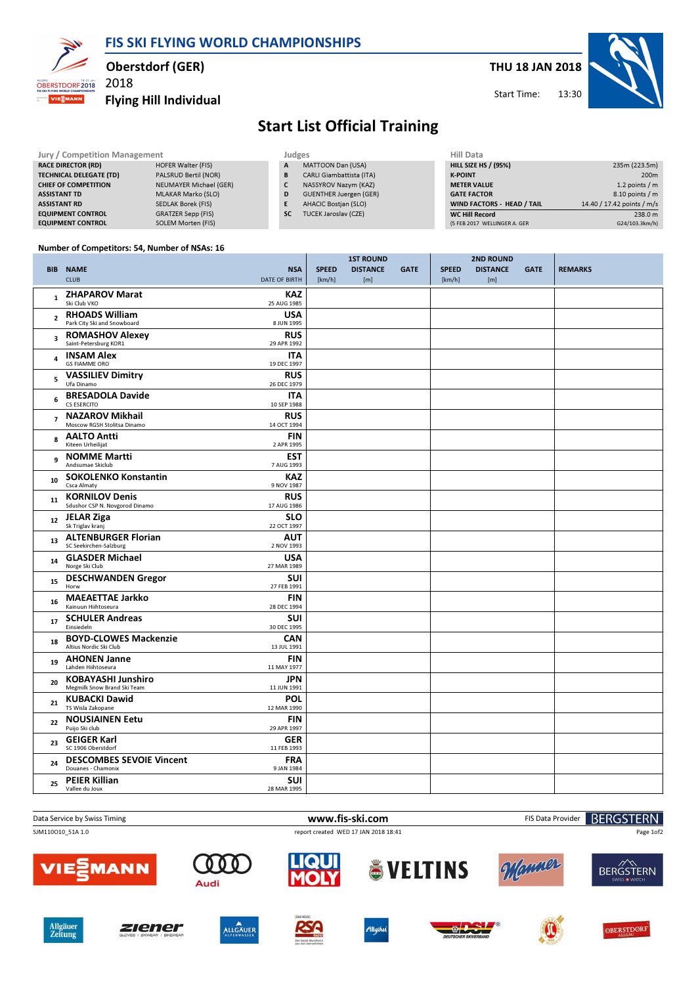FIS SKI FLYING WORLD CHAMPIONSHIPS



### Oberstdorf (GER)

2018

### Flying Hill Individual



Start Time:

## Start List Official Training

| Jury / Competition Management  |                        | Judges    |                                 |  | Hill Data                    |                            |  |
|--------------------------------|------------------------|-----------|---------------------------------|--|------------------------------|----------------------------|--|
| <b>RACE DIRECTOR (RD)</b>      | HOFER Walter (FIS)     | A         | MATTOON Dan (USA)               |  | <b>HILL SIZE HS / (95%)</b>  | 235m (223.5m)              |  |
| <b>TECHNICAL DELEGATE (TD)</b> | PALSRUD Bertil (NOR)   | B         | <b>CARLI Giambattista (ITA)</b> |  | <b>K-POINT</b>               | 200 <sub>m</sub>           |  |
| <b>CHIEF OF COMPETITION</b>    | NEUMAYER Michael (GER) |           | NASSYROV Nazym (KAZ)            |  | <b>METER VALUE</b>           | 1.2 points $/m$            |  |
| <b>ASSISTANT TD</b>            | MLAKAR Marko (SLO)     | D         | <b>GUENTHER Juergen (GER)</b>   |  | <b>GATE FACTOR</b>           | $8.10$ points / m          |  |
| <b>ASSISTANT RD</b>            | SEDLAK Borek (FIS)     |           | <b>AHACIC Bostjan (SLO)</b>     |  | WIND FACTORS - HEAD / TAIL   | 14.40 / 17.42 points / m/s |  |
| <b>EQUIPMENT CONTROL</b>       | GRATZER Sepp (FIS)     | <b>SC</b> | <b>TUCEK Jaroslav (CZE)</b>     |  | <b>WC Hill Record</b>        | 238.0 m                    |  |
| <b>EQUIPMENT CONTROL</b>       | SOLEM Morten (FIS)     |           |                                 |  | (5 FEB 2017 WELLINGER A. GER | G24/103.3km/h)             |  |

#### Number of Competitors: 54, Number of NSAs: 16

|                         |                                                          |                                    | <b>1ST ROUND</b> |                 |             | <b>2ND ROUND</b> |                 |             |                |
|-------------------------|----------------------------------------------------------|------------------------------------|------------------|-----------------|-------------|------------------|-----------------|-------------|----------------|
|                         | <b>BIB NAME</b><br><b>CLUB</b>                           | <b>NSA</b><br><b>DATE OF BIRTH</b> | <b>SPEED</b>     | <b>DISTANCE</b> | <b>GATE</b> | <b>SPEED</b>     | <b>DISTANCE</b> | <b>GATE</b> | <b>REMARKS</b> |
|                         |                                                          |                                    | [km/h]           | [m]             |             | [km/h]           | [m]             |             |                |
| $\mathbf{1}$            | <b>ZHAPAROV Marat</b><br>Ski Club VKO                    | <b>KAZ</b><br>25 AUG 1985          |                  |                 |             |                  |                 |             |                |
| $\overline{2}$          | <b>RHOADS William</b><br>Park City Ski and Snowboard     | <b>USA</b><br>8 JUN 1995           |                  |                 |             |                  |                 |             |                |
| $\overline{\mathbf{3}}$ | <b>ROMASHOV Alexey</b><br>Saint-Petersburg KOR1          | <b>RUS</b><br>29 APR 1992          |                  |                 |             |                  |                 |             |                |
| 4                       | <b>INSAM Alex</b><br><b>GS FIAMME ORO</b>                | <b>ITA</b><br>19 DEC 1997          |                  |                 |             |                  |                 |             |                |
| 5                       | <b>VASSILIEV Dimitry</b><br>Ufa Dinamo                   | <b>RUS</b><br>26 DEC 1979          |                  |                 |             |                  |                 |             |                |
| 6                       | <b>BRESADOLA Davide</b><br>CS ESERCITO                   | ITA<br>10 SEP 1988                 |                  |                 |             |                  |                 |             |                |
| $\overline{7}$          | <b>NAZAROV Mikhail</b><br>Moscow RGSH Stolitsa Dinamo    | <b>RUS</b><br>14 OCT 1994          |                  |                 |             |                  |                 |             |                |
| 8                       | <b>AALTO Antti</b><br>Kiteen Urheilijat                  | <b>FIN</b><br>2 APR 1995           |                  |                 |             |                  |                 |             |                |
| 9                       | <b>NOMME Martti</b><br>Andsumae Skiclub                  | <b>EST</b><br>7 AUG 1993           |                  |                 |             |                  |                 |             |                |
| 10                      | <b>SOKOLENKO Konstantin</b><br>Csca Almaty               | <b>KAZ</b><br>9 NOV 1987           |                  |                 |             |                  |                 |             |                |
| 11                      | <b>KORNILOV Denis</b><br>Sdushor CSP N. Novgorod Dinamo  | <b>RUS</b><br>17 AUG 1986          |                  |                 |             |                  |                 |             |                |
| 12                      | <b>JELAR Ziga</b><br>Sk Triglav kranj                    | <b>SLO</b><br>22 OCT 1997          |                  |                 |             |                  |                 |             |                |
| 13                      | <b>ALTENBURGER Florian</b><br>SC Seekirchen-Salzburg     | <b>AUT</b><br>2 NOV 1993           |                  |                 |             |                  |                 |             |                |
| 14                      | <b>GLASDER Michael</b><br>Norge Ski Club                 | <b>USA</b><br>27 MAR 1989          |                  |                 |             |                  |                 |             |                |
| 15                      | <b>DESCHWANDEN Gregor</b><br>Horw                        | SUI<br>27 FEB 1991                 |                  |                 |             |                  |                 |             |                |
| 16                      | <b>MAEAETTAE Jarkko</b><br>Kainuun Hiihtoseura           | <b>FIN</b><br>28 DEC 1994          |                  |                 |             |                  |                 |             |                |
| 17                      | <b>SCHULER Andreas</b><br>Einsiedeln                     | SUI<br>30 DEC 1995                 |                  |                 |             |                  |                 |             |                |
| 18                      | <b>BOYD-CLOWES Mackenzie</b><br>Altius Nordic Ski Club   | <b>CAN</b><br>13 JUL 1991          |                  |                 |             |                  |                 |             |                |
| 19                      | <b>AHONEN Janne</b><br>Lahden Hiihtoseura                | <b>FIN</b><br>11 MAY 1977          |                  |                 |             |                  |                 |             |                |
| 20                      | <b>KOBAYASHI Junshiro</b><br>Megmilk Snow Brand Ski Team | <b>JPN</b><br>11 JUN 1991          |                  |                 |             |                  |                 |             |                |
| 21                      | <b>KUBACKI Dawid</b><br>TS Wisla Zakopane                | <b>POL</b><br>12 MAR 1990          |                  |                 |             |                  |                 |             |                |
| 22                      | <b>NOUSIAINEN Eetu</b><br>Puijo Ski club                 | <b>FIN</b><br>29 APR 1997          |                  |                 |             |                  |                 |             |                |
| 23                      | <b>GEIGER Karl</b><br>SC 1906 Oberstdorf                 | <b>GER</b><br>11 FEB 1993          |                  |                 |             |                  |                 |             |                |
| 24                      | <b>DESCOMBES SEVOIE Vincent</b><br>Douanes - Chamonix    | <b>FRA</b><br>9 JAN 1984           |                  |                 |             |                  |                 |             |                |
| 25                      | <b>PEIER Killian</b><br>Vallee du Joux                   | <b>SUI</b><br>28 MAR 1995          |                  |                 |             |                  |                 |             |                |

#### Data Service by Swiss Timing **Example 2018** 2019 19:30 WWW.fis-ski.com FIS Data Provider SJM110O10\_51A 1.0 report created WED 17 JAN 2018 18:41

**BERGSTERN** 

Page 1of2